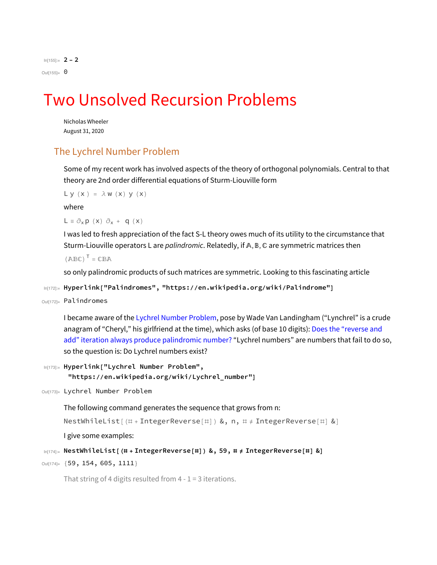In[155]:= **2 - 2** Out $[155] = 0$ 

## Two Unsolved Recursion Problems

Nicholas Wheeler August 31, 2020

## The Lychrel Number Problem

Some of my recent work has involved aspects of the theory of orthogonal polynomials. Central to that theory are 2nd order differential equations of Sturm-Liouville form

```
L y (x) = \lambda w (x) y (x)
```
where

 $L = \partial_x p(x) \partial_x + q(x)$ 

I was led to fresh appreciation of the fact S-L theory owes much of its utility to the circumstance that Sturm-Liouville operators L are *palindromic*. Relatedly, if  $A, B, C$  are symmetric matrices then

 $(ABC)^T = CBA$ 

so only palindromic products of such matrices are symmetric. Looking to this fascinating article

```
In[172]:= Hyperlink["Palindromes", "https://en.wikipedia.org/wiki/Palindrome"]
```

```
Out[172]= Palindromes
```
I became aware of the Lychrel Number Problem, pose by Wade Van Landingham ("Lynchrel" is a crude anagram of "Cheryl," his girlfriend at the time), which asks (of base 10 digits): Does the "reverse and add" iteration always produce palindromic number? "Lychrel numbers" are numbers that fail to do so, so the question is: Do Lychrel numbers exist?

```
In[173]:= Hyperlink["Lychrel Number Problem",
      "https://en.wikipedia.org/wiki/Lychrel_number"]
```

```
Out[173]= Lychrel Number Problem
```
The following command generates the sequence that grows from n:

```
NestWhileList[(#+IntegerReverse[#]) &, n, # \neq IntegerReverse[#] &]
```
I give some examples:

```
In[174]:= NestWhileList[(# + IntegerReverse[#]) &, 59, # ≠ IntegerReverse[#] &]
```

```
Out[174]= {59, 154, 605, 1111}
```
That string of 4 digits resulted from  $4 - 1 = 3$  iterations.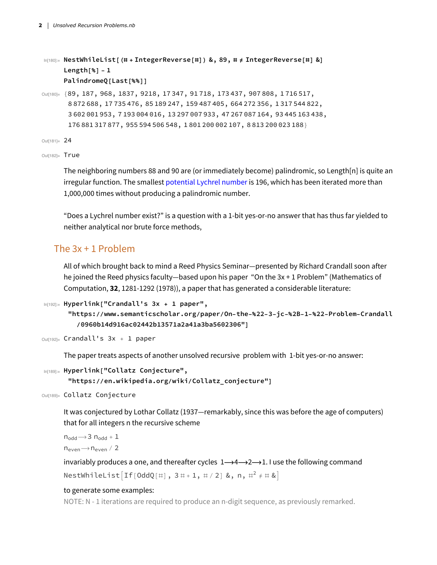```
In[180]:= NestWhileList[(# + IntegerReverse[#]) &, 89, # ≠ IntegerReverse[#] &]
     Length[%] - 1
     PalindromeQ[Last[%%]]
```
Out[180]= {89, 187, 968, 1837, 9218, 17347, 91718, 173437, 907808, 1716517, 872 688, 17 735 476, 85 189 247, 159 487 405, 664 272 356, 1 317 544 822, 602 001 953, 7 193 004 016, 13 297 007 933, 47 267 087 164, 93 445 163 438, 881 317 877, 955 594 506 548, 1 801 200 002 107, 8 813 200 023 188}

Out[181]= 24

Out[182]= True

The neighboring numbers 88 and 90 are (or immediately become) palindromic, so Length[n] is quite an irregular function. The smallest potential Lychrel number is 196, which has been iterated more than 1,000,000 times without producing a palindromic number.

"Does a Lychrel number exist?" is a question with a 1-bit yes-or-no answer that has thus far yielded to neither analytical nor brute force methods,

## The 3x + 1 Problem

All of which brought back to mind a Reed Physics Seminar—presented by Richard Crandall soon after he joined the Reed physics faculty—based upon his paper "On the 3x + 1 Problem" (Mathematics of Computation, **32**, 1281-1292 (1978)), a paper that has generated a considerable literature:

```
In[192]:= Hyperlink["Crandall's 3x + 1 paper",
```

```
"https://www.semanticscholar.org/paper/0n-the-%22-3-jc-%2B-1-%22-Problem-Crandall
  /0960b14d916ac02442b13571a2a41a3ba5602306"]
```

```
Out[192]= Crandall's 3x + 1 paper
```
The paper treats aspects of another unsolved recursive problem with 1-bit yes-or-no answer:

```
In[189]:= Hyperlink["Collatz Conjecture",
      "https://en.wikipedia.org/wiki/Collatz_conjecture"]
```
Out[189]= Collatz Conjecture

It was conjectured by Lothar Collatz (1937—remarkably, since this was before the age of computers) that for all integers n the recursive scheme

 $n_{\text{odd}} \rightarrow 3 n_{\text{odd}} + 1$  $n_{even} \rightarrow n_{even}$  / 2

invariably produces a one, and thereafter cycles  $1 \rightarrow 4 \rightarrow 2 \rightarrow 1$ . I use the following command NestWhileList $[\text{If}[\text{OddQ}[\#], 3\#+1, \#/2] \&, n, \#^{2} \neq \# \&]$ 

## to generate some examples:

NOTE: N - 1 iterations are required to produce an n-digit sequence, as previously remarked.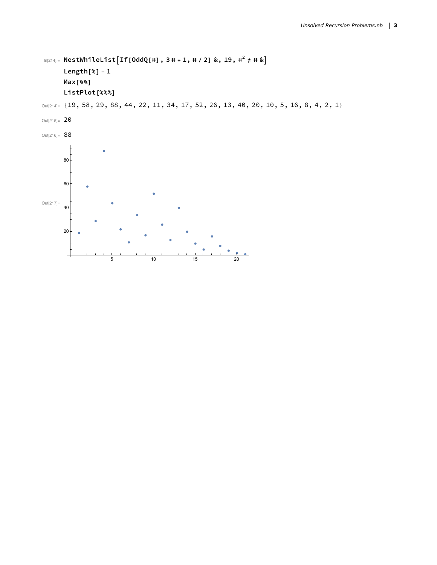```
In[214]:= NestWhileListIf[OddQ[#], 3 # + 1, # / 2] &, 19, #2 ≠ # &
     Length[%] - 1
     Max[%%]
     ListPlot[%%%]
```
Out[214]= {19, 58, 29, 88, 44, 22, 11, 34, 17, 52, 26, 13, 40, 20, 10, 5, 16, 8, 4, 2, 1}

Out[215]= 20

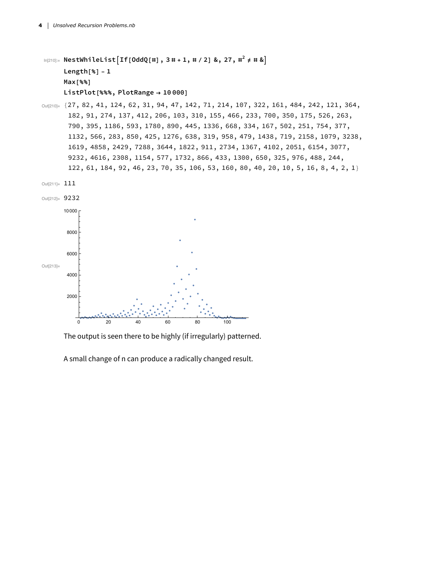```
In[210]:= NestWhileListIf[OddQ[#], 3 # + 1, # / 2] &, 27, #2 ≠ # &
     Length[%] - 1
     Max[%%]
     ListPlot[%%%, PlotRange → 10 000]
```
Out[210]= {27, 82, 41, 124, 62, 31, 94, 47, 142, 71, 214, 107, 322, 161, 484, 242, 121, 364, 182, 91, 274, 137, 412, 206, 103, 310, 155, 466, 233, 700, 350, 175, 526, 263, 790, 395, 1186, 593, 1780, 890, 445, 1336, 668, 334, 167, 502, 251, 754, 377, 1132, 566, 283, 850, 425, 1276, 638, 319, 958, 479, 1438, 719, 2158, 1079, 3238, 1619, 4858, 2429, 7288, 3644, 1822, 911, 2734, 1367, 4102, 2051, 6154, 3077, 9232, 4616, 2308, 1154, 577, 1732, 866, 433, 1300, 650, 325, 976, 488, 244, 122, 61, 184, 92, 46, 23, 70, 35, 106, 53, 160, 80, 40, 20, 10, 5, 16, 8, 4, 2, 1}





The output is seen there to be highly (if irregularly) patterned.

A small change of n can produce a radically changed result.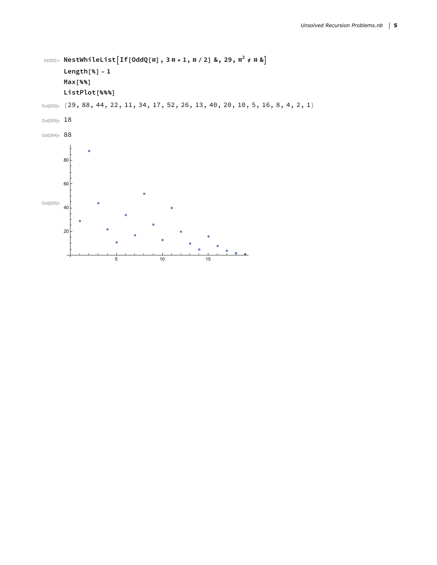```
In[202]:= NestWhileListIf[OddQ[#], 3 # + 1, # / 2] &, 29, #2 ≠ # &
     Length[%] - 1
     Max[%%]
     ListPlot[%%%]
```
Out[202]= {29, 88, 44, 22, 11, 34, 17, 52, 26, 13, 40, 20, 10, 5, 16, 8, 4, 2, 1}

```
Out[203]= 18
```
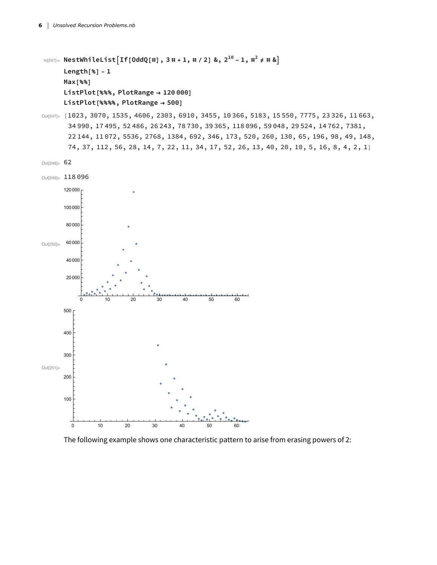```
ln[247]: NestWhileList [If[OddQ[#], 3 # + 1, # / 2] &, 2^{10} - 1, #^2 \neq #  &
      Length[%] - 1
      Max[%%]
      ListPlot[%%%, PlotRange → 120 000]
      ListPlot[%%%%, PlotRange → 500]
Out[247]= {1023, 3070, 1535, 4606, 2303, 6910, 3455, 10366, 5183, 15550, 7775, 23326, 11663,
       34 990, 17 495, 52 486, 26 243, 78 730, 39 365, 118 096, 59 048, 29 524, 14 762, 7381,
```
22 144, 11 072, 5536, 2768, 1384, 692, 346, 173, 520, 260, 130, 65, 196, 98, 49, 148, 74, 37, 112, 56, 28, 14, 7, 22, 11, 34, 17, 52, 26, 13, 40, 20, 10, 5, 16, 8, 4, 2, 1}

```
Out[248]= 62
```


The following example shows one characteristic pattern to arise from erasing powers of 2: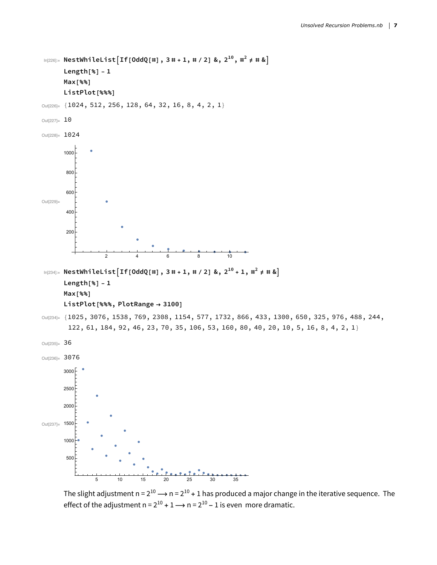```
In[226]:= NestWhileListIf[OddQ[#], 3 # + 1, # / 2] &, 210, #2 ≠ # &
      Length[%] - 1
      Max[%%]
      ListPlot[%%%]
Out[226]= {1024, 512, 256, 128, 64, 32, 16, 8, 4, 2, 1}
Out[227] = 10Out[228]= 1024
Out[229]=
                  2 4 6 8 10
       200
       400
       600
       800
      1000
ln[234] = NestWhileList [If[OddQ[#], 3# + 1, # / 2] &, 2^{10} + 1, #^2 \neq #  &
      Length[%] - 1
      Max[%%]
      ListPlot[%%%, PlotRange → 3100]
Out[234]= {1025, 3076, 1538, 769, 2308, 1154, 577, 1732, 866, 433, 1300, 650, 325, 976, 488, 244,
       122, 61, 184, 92, 46, 23, 70, 35, 106, 53, 160, 80, 40, 20, 10, 5, 16, 8, 4, 2, 1}
Out[235]= 36
Out[236]= 3076
Out<sup>[237]</sup>= 1500
                5 10 15 20 25 30 35
       500
      1000
      2000
      2500
      3000
```
The slight adjustment  $n = 2^{10} \rightarrow n = 2^{10} + 1$  has produced a major change in the iterative sequence. The effect of the adjustment  $n = 2^{10} + 1 \rightarrow n = 2^{10} - 1$  is even more dramatic.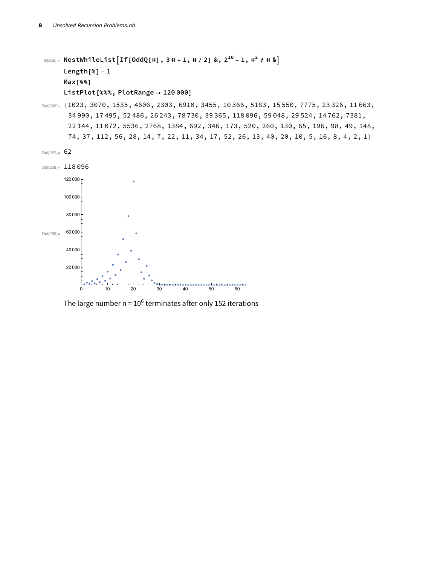```
ln[256] = NestWhileList [If[OddQ[#], 3# + 1, # / 2] &, 2^{10} - 1, #^2 \neq #  &
      Length[%] - 1
      Max[%%]
      ListPlot[%%%, PlotRange → 120 000]
```
Out[256]= {1023, 3070, 1535, 4606, 2303, 6910, 3455, 10366, 5183, 15550, 7775, 23326, 11663, 34 990, 17 495, 52 486, 26 243, 78 730, 39 365, 118 096, 59 048, 29 524, 14 762, 7381, 22 144, 11 072, 5536, 2768, 1384, 692, 346, 173, 520, 260, 130, 65, 196, 98, 49, 148, 74, 37, 112, 56, 28, 14, 7, 22, 11, 34, 17, 52, 26, 13, 40, 20, 10, 5, 16, 8, 4, 2, 1}

Out[257]= 62



The large number  $n = 10^6$  terminates after only 152 iterations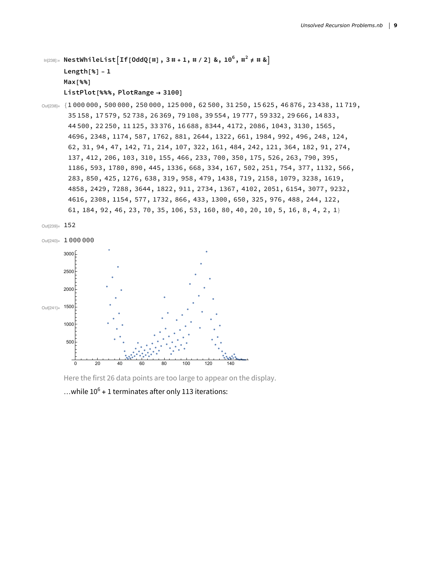```
In[238]:= NestWhileListIf[OddQ[#], 3 # + 1, # / 2] &, 106, #2 ≠ # &
     Length[%] - 1
     Max[%%]
     ListPlot[%%%, PlotRange → 3100]
```
Out[238]= {1 000 000, 500 000, 250 000, 125 000, 62 500, 31 250, 15 625, 46 876, 23 438, 11 719, 35 158, 17 579, 52 738, 26 369, 79 108, 39 554, 19 777, 59 332, 29 666, 14 833, 44 500, 22 250, 11 125, 33 376, 16 688, 8344, 4172, 2086, 1043, 3130, 1565, 4696, 2348, 1174, 587, 1762, 881, 2644, 1322, 661, 1984, 992, 496, 248, 124, 62, 31, 94, 47, 142, 71, 214, 107, 322, 161, 484, 242, 121, 364, 182, 91, 274, 137, 412, 206, 103, 310, 155, 466, 233, 700, 350, 175, 526, 263, 790, 395, 1186, 593, 1780, 890, 445, 1336, 668, 334, 167, 502, 251, 754, 377, 1132, 566, 283, 850, 425, 1276, 638, 319, 958, 479, 1438, 719, 2158, 1079, 3238, 1619, 4858, 2429, 7288, 3644, 1822, 911, 2734, 1367, 4102, 2051, 6154, 3077, 9232, 4616, 2308, 1154, 577, 1732, 866, 433, 1300, 650, 325, 976, 488, 244, 122, 61, 184, 92, 46, 23, 70, 35, 106, 53, 160, 80, 40, 20, 10, 5, 16, 8, 4, 2, 1}





Here the first 26 data points are too large to appear on the display.

...while  $10^6$  + 1 terminates after only 113 iterations: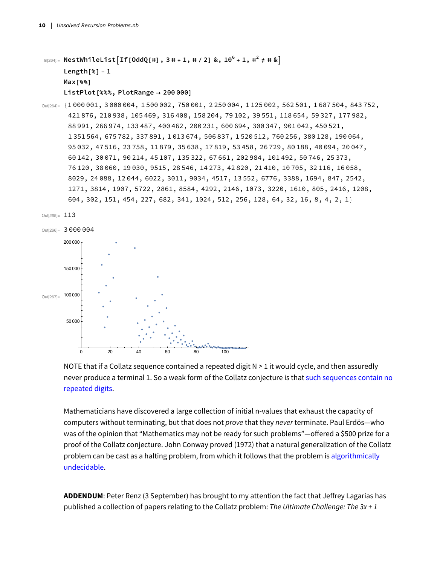```
ln[264] = NestWhileList [If [OddQ[#], 3 # + 1, # / 2] &, 10<sup>6</sup> + 1, #<sup>2</sup> \neq # &]
       Length[%] - 1
      Max[%%]
       ListPlot[%%%, PlotRange → 200 000]
```
Out[264]= {1 000 001, 3 000 004, 1 500 002, 750 001, 2 250 004, 1 125 002, 562 501, 1 687 504, 843 752, 421 876, 210 938, 105 469, 316 408, 158 204, 79 102, 39 551, 118 654, 59 327, 177 982, 88 991, 266 974, 133 487, 400 462, 200 231, 600 694, 300 347, 901 042, 450 521, 1 351 564, 675 782, 337 891, 1 013 674, 506 837, 1 520 512, 760 256, 380 128, 190 064, 95 032, 47 516, 23 758, 11 879, 35 638, 17 819, 53 458, 26 729, 80 188, 40 094, 20 047, 60 142, 30 071, 90 214, 45 107, 135 322, 67 661, 202 984, 101 492, 50 746, 25 373, 76 120, 38 060, 19 030, 9515, 28 546, 14 273, 42 820, 21 410, 10 705, 32 116, 16 058, 8029, 24 088, 12 044, 6022, 3011, 9034, 4517, 13 552, 6776, 3388, 1694, 847, 2542, 1271, 3814, 1907, 5722, 2861, 8584, 4292, 2146, 1073, 3220, 1610, 805, 2416, 1208, 604, 302, 151, 454, 227, 682, 341, 1024, 512, 256, 128, 64, 32, 16, 8, 4, 2, 1}





NOTE that if a Collatz sequence contained a repeated digit N > 1 it would cycle, and then assuredly never produce a terminal 1. So a weak form of the Collatz conjecture is that such sequences contain no repeated digits.

Mathematicians have discovered a large collection of initial n-values that exhaust the capacity of computers without terminating, but that does not *prove* that they *never* terminate. Paul Erdös—who was of the opinion that "Mathematics may not be ready for such problems"—offered a \$500 prize for a proof of the Collatz conjecture. John Conway proved (1972) that a natural generalization of the Collatz problem can be cast as a halting problem, from which it follows that the problem is algorithmically undecidable.

**ADDENDUM**: Peter Renz (3 September) has brought to my attention the fact that Jeffrey Lagarias has published a collection of papers relating to the Collatz problem: *The Ultimate Challenge: The 3x + 1*